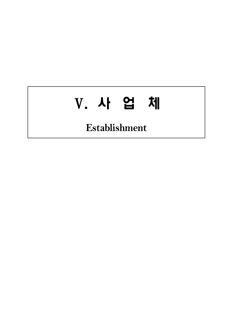# Ⅴ. 사 업 체

**Establishment**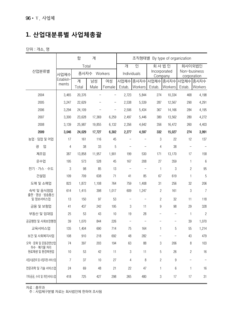# **1. 산업대분류별 사업체총괄**

단위 : 개소, 명

|                             |                | 합            | 계      |             |                   |                         | 조직형태별 By type of organization |                             |                |                |
|-----------------------------|----------------|--------------|--------|-------------|-------------------|-------------------------|-------------------------------|-----------------------------|----------------|----------------|
|                             |                | Total        |        |             | 인<br>개            |                         | 회사법인                          |                             | 회사이외법인         |                |
| 산업분류별                       | 사업체수           | 종사자수 Workers |        | Individuals |                   | Incorporated<br>Company |                               | Non-business<br>corporation |                |                |
|                             | Establish-     | 계            | 남성     | 여성          | 사업체수              | 종사자수                    | 사업체수 종사자수                     |                             | 사업체수 종사자수      |                |
|                             | ments          | Total        | Male   | Female      | Estab.            | Workers                 | Estab.                        | Workers                     | Estab.         | Workers        |
| 2004                        | 3,465          | 20,376       |        |             | 2,723             | 5,844                   | 274                           | 10,334                      | 468            | 4,198          |
| 2005                        | 3,247          | 22,629       |        |             | 2,538             | 5,539                   | 287                           | 12,567                      | 290            | 4,291          |
| 2006                        | 3,294          | 24,109       |        |             | 2,506             | 5,434                   | 367                           | 14,166                      | 284            | 4,195          |
| 2007                        | 3,300          | 23,628       | 17,369 | 6,259       | 2,497             | 5,446                   | 380                           | 13,562                      | 280            | 4,272          |
| 2008                        | 3,139          | 25,987       | 19,855 | 6,132       | 2,356             | 4,642                   | 356                           | 16,472                      | 260            | 4,403          |
| 2009                        | 3,046          | 24,029       | 17,727 | 6,302       | 2,277             | 4,597                   | 332                           | 15,027                      | 274            | 3,991          |
| 농업 · 임업 및 어업                | 17             | 161          | 116    | 45          | $\qquad \qquad -$ |                         | 3                             | 22                          | 12             | 137            |
| 광<br>업                      | 4              | 38           | 33     | 5           |                   |                         | 4                             | 38                          |                |                |
| 제조업                         | 387            | 13,858       | 11,957 | 1,901       | 199               | 530                     | 171                           | 13,170                      | 17             | 158            |
| 운수업                         | 195            | 573          | 528    | 45          | 167               | 208                     | 27                            | 359                         | 1              | 6              |
| 전기 · 가스 · 수도                | 3              | 98           | 85     | 13          |                   |                         | 1                             | 3                           | $\mathbf{2}$   | 95             |
| 건설업                         | 109            | 709          | 638    | 71          | 41                | 85                      | 67                            | 619                         | 1              | 5              |
| 도매 및 소매업                    | 823            | 1,872        | 1,108  | 764         | 759               | 1,408                   | 31                            | 256                         | 32             | 206            |
| 숙박 및 음식점업<br>출판 · 영상 · 방송통신 | 614            | 1,415        | 398    | 1,017       | 609               | 1,247                   | 2                             | 161                         | 3              | $\overline{7}$ |
| 및 정보서비스업                    | 13             | 150          | 97     | 53          |                   |                         | 2                             | 32                          | 11             | 118            |
| 금융 및 보험업                    | 41             | 437          | 242    | 195         | 3                 | 11                      | 9                             | 98                          | 29             | 328            |
| 부동산 및 임대업                   | 25             | 53           | 43     | 10          | 19                | 28                      | -                             | $\qquad \qquad -$           | $\mathbf{1}$   | $\overline{c}$ |
| 공공행정 및 사회보장행정               | 39             | 1,070        | 844    | 226         |                   |                         |                               | $\qquad \qquad -$           | 39             | 1,070          |
| 교육서비스업                      | 135            | 1,404        | 690    | 714         | 75                | 164                     | 1                             | 5                           | 55             | 1,214          |
| 보건 및 사회복지사업                 | 108            | 910          | 218    | 692         | 48                | 282                     |                               |                             | 43             | 479            |
| 오락 · 문화 및 운동관련산업            | 74             | 397          | 203    | 194         | 63                | 88                      | 3                             | 206                         | 8              | 103            |
| 하수 · 폐기물 처리<br>원료재생 및 환경복원업 | 10             | 53           | 42     | 11          | 3                 | 11                      | 5                             | 26                          | $\overline{c}$ | 16             |
| 사업시설관리 및 사업지원 서비스업          | $\overline{7}$ | 37           | 10     | 27          | 4                 | 8                       | 2                             | 9                           |                |                |
| 전문과학 및 기술 서비스업              | 24             | 69           | 48     | 21          | 22                | 47                      | 1                             | 6                           | 1              | 16             |
| 기타공공, 수리 및 개인서비스업           | 418            | 725          | 427    | 298         | 265               | 480                     | 3                             | 17                          | 17             | 31             |

자료 : 총무과

주 : 사업체구분별 자료는 회사법인에 한하여 조사됨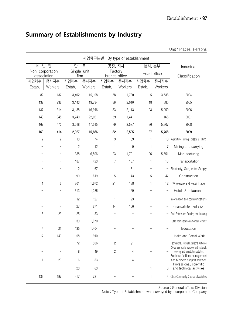|                                |                |                     |         |                          |                          |                          |                          | Unit: Places, Persons                                                                 |
|--------------------------------|----------------|---------------------|---------|--------------------------|--------------------------|--------------------------|--------------------------|---------------------------------------------------------------------------------------|
|                                |                |                     | 사업체구분별  |                          | By type of establishment |                          |                          |                                                                                       |
| 비법 인                           |                | 단                   | 독       | 공장, 지사                   |                          | 본사, 본부                   |                          | Industrial                                                                            |
| Non-corporation<br>association |                | Single-unit<br>firm |         | Factory<br>brance office |                          | Head office              |                          | Classification                                                                        |
| 사업체수                           | 종사자수           | 사업체수                | 종사자수    | 사업체수                     | 종사자수                     | 사업체수                     | 종사자수                     |                                                                                       |
| Estab.                         | Workers        | Estab.              | Workers | Estab.                   | Workers                  | Estab.                   | Workers                  |                                                                                       |
| 82                             | 137            | 3,402               | 15,108  | 58                       | 1,730                    | 5                        | 3,538                    | 2004                                                                                  |
| 132                            | 232            | 3,143               | 19,734  | 86                       | 2,010                    | 18                       | 885                      | 2005                                                                                  |
| 137                            | 314            | 3,188               | 16,946  | 83                       | 2,113                    | 23                       | 5,050                    | 2006                                                                                  |
| 143                            | 348            | 3,240               | 22,021  | 59                       | 1,441                    | $\mathbf{1}$             | 166                      | 2007                                                                                  |
| 167                            | 470            | 3,018               | 17,515  | 79                       | 2,577                    | 36                       | 5,807                    | 2008                                                                                  |
| 163                            | 414            | 2,927               | 15,666  | 82                       | 2,595                    | 37                       | 5,768                    | 2009                                                                                  |
| $\overline{c}$                 | $\overline{c}$ | 13                  | 74      | 3                        | 69                       | $\mathbf{1}$             | 18                       | Agriculture, Hunting, Forestry & Fishing                                              |
|                                |                | $\overline{c}$      | 12      | 1                        | 9                        | $\mathbf{1}$             | 17                       | Mining and uarrying                                                                   |
|                                |                | 338                 | 6,506   | 23                       | 1,701                    | 26                       | 5,651                    | Manufacturing                                                                         |
|                                |                | 187                 | 423     | 7                        | 137                      | $\mathbf{1}$             | 13                       | Transportation                                                                        |
|                                |                | $\overline{c}$      | 67      | $\mathbf{1}$             | 31                       |                          |                          | Electricity, Gas, water Supply                                                        |
|                                |                | 99                  | 619     | 5                        | 43                       | 5                        | 47                       | Construction                                                                          |
| 1                              | $\overline{c}$ | 801                 | 1,672   | 21                       | 188                      | $\mathbf{1}$             | 12                       | Wholesale and Retail Trade                                                            |
|                                |                | 613                 | 1,286   | 1                        | 129                      |                          | $\overline{\phantom{0}}$ | Hotels & estaurants                                                                   |
|                                |                | 12                  | 127     | 1                        | 23                       | $\overline{\phantom{0}}$ |                          | Information and communications                                                        |
|                                |                | 27                  | 271     | 14                       | 166                      |                          |                          | FinancalIntermediation                                                                |
| 5                              | 23             | 25                  | 53      |                          |                          |                          | -                        | Real Estate and Renting and Leasing                                                   |
|                                |                | 39                  | 1,070   |                          |                          |                          | -                        | Public Administration & Socical security                                              |
| 4                              | 21             | 135                 | 1,404   |                          |                          |                          | $\overline{\phantom{0}}$ | Education                                                                             |
| 17                             | 149            | 108                 | 910     |                          |                          |                          | $\overline{\phantom{0}}$ | Health and Social Work                                                                |
|                                |                | 72                  | 306     | $\overline{c}$           | 91                       |                          |                          | Recreational, cultural & personal Activities<br>Sewerage, waste management, materials |
|                                |                | 8                   | 49      | 2                        | 4                        |                          |                          | recovery and remediation activities                                                   |
| 1                              | 20             | 6                   | 33      | 1                        | 4                        |                          |                          | Business facilities management<br>and business support services                       |
|                                |                | 23                  | 63      |                          |                          | 1                        | $6\,$                    | Professional, scientific<br>and technical activities                                  |
| 133                            | 197            | 417                 | 721     |                          |                          | 1                        | 4                        | Other Community & personal Activities                                                 |

## **Summary of Establishments by Industry**

Source : General affairs Division

Note : Type of Establishment was surveyed by Incorporated Company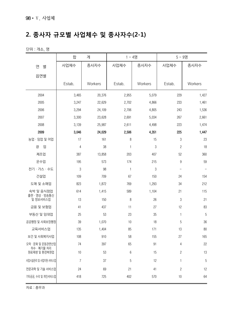# **2. 종사자 규모별 사업체수 및 종사자수(2-1)**

단위 : 개소, 명

|                             | 합              | 계       | $1 - 4명$     |         | $5 - 9$ 명               |                |
|-----------------------------|----------------|---------|--------------|---------|-------------------------|----------------|
| 연<br>별                      | 사업체수           | 종사자수    | 사업체수         | 종사자수    | 사업체수                    | 종사자수           |
| 읍면별                         |                |         |              |         |                         |                |
|                             | Estab.         | Workers | Estab.       | Workers | Estab.                  | Workers        |
|                             |                |         |              |         |                         |                |
| 2004                        | 3,465          | 20,376  | 2,955        | 5,079   | 229                     | 1,427          |
| 2005                        | 3,247          | 22,629  | 2,702        | 4,866   | 233                     | 1,461          |
| 2006                        | 3,294          | 24,109  | 2,706        | 4,805   | 243                     | 1,536          |
| 2007                        | 3,300          | 23,628  | 2,691        | 5,034   | 267                     | 2,661          |
| 2008                        | 3,139          | 25,987  | 2,611        | 4,498   | 223                     | 1,474          |
| 2009                        | 3,046          | 24,029  | 2,506        | 4,351   | 225                     | 1,447          |
| 농업 · 임업 및 어업                | 17             | 161     | 8            | 15      | 3                       | 23             |
| 업<br>광                      | 4              | 38      | $\mathbf{1}$ | 3       | $\overline{\mathbf{c}}$ | 18             |
| 제조업                         | 387            | 13,858  | 203          | 407     | 52                      | 360            |
| 운수업                         | 195            | 573     | 174          | 215     | 9                       | 59             |
| 전기 · 가스 · 수도                | 3              | 98      | $\mathbf{1}$ | 3       | $\qquad \qquad -$       |                |
| 건설업                         | 109            | 709     | 67           | 150     | 24                      | 154            |
| 도매 및 소매업                    | 823            | 1,872   | 769          | 1,293   | 34                      | 212            |
| 숙박 및 음식점업                   | 614            | 1,415   | 589          | 1,104   | 21                      | 115            |
| 출판 · 영상 · 방송통신<br>및 정보서비스업  | 13             | 150     | 8            | 26      | 3                       | 21             |
| 금융 및 보험업                    | 41             | 437     | 11           | 27      | 12                      | 83             |
| 부동산 및 임대업                   | 25             | 53      | 23           | 35      | $\mathbf{1}$            | $\overline{5}$ |
| 공공행정 및 사회보장행정               | 39             | 1,070   | 10           | 18      | 5                       | $36\,$         |
| 교육서비스업                      | 135            | 1,404   | 85           | 171     | 13                      | 80             |
| 보건 및 사회복지사업                 | 108            | 910     | 58           | 155     | 27                      | 165            |
| 오락 · 문화 및 운동관련산업            | 74             | 397     | 65           | 91      | 4                       | 22             |
| 하수 · 폐기물 처리<br>원료재생 및 환경복원업 | $10$           | 53      | 6            | 15      | $\overline{c}$          | 13             |
| 사업시설관리 및 사업지원 서비스업          | $\overline{7}$ | 37      | 5            | 12      | 1                       | 5              |
| 전문과학 및 기술 서비스업              | 24             | 69      | 21           | 41      | $\overline{\mathbf{c}}$ | 12             |
| 기타공공, 수리 및 개인서비스업           | 418            | 725     | 402          | 570     | $10$                    | 64             |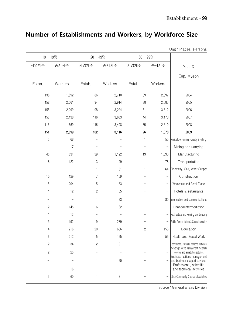## **Number of Establishments and Workers, by Workforce Size**

Unit : Places, Persons

| 10 - 19명       |         | 20 - 49명       |         | 50 - 99명 |                          |                                                                              |
|----------------|---------|----------------|---------|----------|--------------------------|------------------------------------------------------------------------------|
| 사업체수           | 종사자수    | 사업체수           | 종사자수    | 사업체수     | 종사자수                     | Year &                                                                       |
|                |         |                |         |          |                          | Eup, Myeon                                                                   |
| Estab.         | Workers | Estab.         | Workers | Estab.   | Workers                  |                                                                              |
| 138            | 1,892   | 86             | 2,710   | 39       | 2,697                    | 2004                                                                         |
| 152            | 2,061   | 94             | 2,914   | 38       | 2,583                    | 2005                                                                         |
| 155            | 2,099   | 108            | 3,224   | 51       | 3,612                    | 2006                                                                         |
| 158            | 2,138   | 116            | 3,633   | 44       | 3,178                    | 2007                                                                         |
| 116            | 1,659   | 116            | 3,408   | 35       | 2,610                    | 2008                                                                         |
| 151            | 2,099   | 102            | 3,116   | 26       | 1,878                    | 2009                                                                         |
| $\sqrt{5}$     | 68      |                |         | 1        | 55                       | Agriculture, Hunting, Forestry & Fishing                                     |
| $\mathbf{1}$   | 17      |                |         |          |                          | Mining and uarrying                                                          |
| 45             | 634     | 39             | 1,192   | 19       | 1,390                    | Manufacturing                                                                |
| $\,8\,$        | 122     | 3              | 99      | 1        | 78                       | Transportation                                                               |
|                |         | 1              | 31      | 1        | 64                       | Electricity, Gas, water Supply                                               |
| 10             | 129     | 7              | 169     |          | $\overline{\phantom{0}}$ | Construction                                                                 |
| 15             | 204     | 5              | 163     |          |                          | Wholesale and Retail Trade                                                   |
| 1              | 12      | $\overline{c}$ | 55      |          | <sup>-</sup>             | Hotels & estaurants                                                          |
|                |         | 1              | 23      | 1        | 80                       | Information and communications                                               |
| 12             | 145     | 6              | 182     |          |                          | FinancalIntermediation                                                       |
| 1              | 13      |                |         |          |                          | Real Estate and Renting and Leasing                                          |
| 13             | 192     | 9              | 289     |          |                          | Public Administration & Socical security                                     |
| 14             | 216     | 20             | 606     | 2        | 156                      | Education                                                                    |
| 16             | 212     | 5              | 165     | 1        | 55                       | Health and Social Work                                                       |
| $\overline{c}$ | 34      | 2              | 91      |          |                          | - Recreational, cultural & personal Activities                               |
| 2              | 25      |                |         |          |                          | Sewerage, waste management, materials<br>recovery and remediation activities |
|                |         |                | 20      |          |                          | Business facilities management<br>and business support services              |
| 1              | 16      |                |         |          |                          | Professional, scientific<br>and technical activities                         |
| 5              | 60      | 1              | 31      |          |                          | Other Community & personal Activities                                        |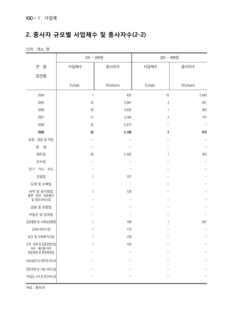# **2. 종사자 규모별 사업체수 및 종사자수(2-2)**

단위 : 개소, 명

| 연<br>사업체수<br>별<br>사업체수<br>종사자수<br>종사자수<br>읍면별<br>Estab.<br>Workers<br>Workers<br>Estab.<br>2004<br>435<br>1<br>16<br>2,643<br>2005<br>23<br>3,681<br>3<br>2006<br>29<br>4,635<br>$\mathbf{1}$ | 300 - 499명 |  |  |
|-----------------------------------------------------------------------------------------------------------------------------------------------------------------------------------------------|------------|--|--|
|                                                                                                                                                                                               |            |  |  |
|                                                                                                                                                                                               |            |  |  |
|                                                                                                                                                                                               |            |  |  |
|                                                                                                                                                                                               |            |  |  |
|                                                                                                                                                                                               | 931        |  |  |
|                                                                                                                                                                                               | 363        |  |  |
|                                                                                                                                                                                               | 747        |  |  |
| 2007<br>21<br>3,304<br>$\overline{c}$<br>2008<br>34<br>5,673                                                                                                                                  |            |  |  |
| 2009<br>$32\,$<br>5,198<br>$\boldsymbol{2}$                                                                                                                                                   | 670        |  |  |
| 농업 · 임업 및 어업                                                                                                                                                                                  |            |  |  |
| 광<br>업                                                                                                                                                                                        |            |  |  |
| 제조업<br>26<br>4,302<br>$\mathbf{1}$                                                                                                                                                            | 303        |  |  |
| 운수업                                                                                                                                                                                           |            |  |  |
| 전기 · 가스 · 수도                                                                                                                                                                                  |            |  |  |
| 건설업<br>107<br>1                                                                                                                                                                               |            |  |  |
| 도매 및 소매업                                                                                                                                                                                      |            |  |  |
| 129<br>숙박 및 음식점업<br>1                                                                                                                                                                         |            |  |  |
| 출판 · 영상 · 방송통신                                                                                                                                                                                |            |  |  |
| 및 정보서비스업                                                                                                                                                                                      |            |  |  |
| 금융 및 보험업                                                                                                                                                                                      |            |  |  |
| 부동산 및 임대업                                                                                                                                                                                     |            |  |  |
| 공공행정 및 사회보장행정<br>168<br>1<br>$\mathbf{1}$                                                                                                                                                     | 367        |  |  |
| 교육서비스업<br>175<br>1                                                                                                                                                                            |            |  |  |
| 보건 및 사회복지사업<br>158<br>1                                                                                                                                                                       |            |  |  |
| 오락 · 문화 및 운동관련산업<br>159<br>1<br>하수 · 폐기물 처리                                                                                                                                                   |            |  |  |
| 원료재생 및 환경복원업                                                                                                                                                                                  |            |  |  |
| 사업시설관리 및 사업지원 서비스업                                                                                                                                                                            |            |  |  |
| 전문과학 및 기술 서비스업                                                                                                                                                                                |            |  |  |
| 기타공공, 수리 및 개인서비스업                                                                                                                                                                             |            |  |  |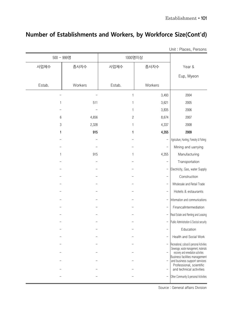## **Number of Establishments and Workers, by Workforce Size(Cont'd)**

| 500 - 999명 |         | 1000명이상        |                          |                                                                              |
|------------|---------|----------------|--------------------------|------------------------------------------------------------------------------|
| 사업체수       | 종사자수    | 사업체수           | 종사자수                     | Year &                                                                       |
|            |         |                |                          | Eup, Myeon                                                                   |
| Estab.     | Workers | Estab.         | Workers                  |                                                                              |
|            |         |                | 3,493                    | 2004                                                                         |
| 1          | 511     |                | 3,621                    | 2005                                                                         |
|            |         | 1              | 3,835                    | 2006                                                                         |
| 6          | 4,656   | $\overline{c}$ | 8,674                    | 2007                                                                         |
| 3          | 2,328   | 1              | 4,337                    | 2008                                                                         |
| 1          | 915     | 1              | 4,355                    | 2009                                                                         |
|            |         |                | $\overline{\phantom{0}}$ | Agriculture, Hunting, Forestry & Fishing                                     |
|            |         |                |                          | Mining and uarrying                                                          |
| 1          | 915     | 1              | 4,355                    | Manufacturing                                                                |
|            |         |                |                          | Transportation                                                               |
|            |         |                |                          | Electricity, Gas, water Supply                                               |
|            |         |                | $\qquad \qquad -$        | Construction                                                                 |
|            |         |                | -                        | Wholesale and Retail Trade                                                   |
|            |         |                |                          | Hotels & estaurants                                                          |
|            |         |                |                          | Information and communications                                               |
|            |         |                | $\overline{\phantom{0}}$ | FinancalIntermediation                                                       |
|            |         |                |                          | Real Estate and Renting and Leasing                                          |
|            |         |                |                          | Public Administration & Socical security                                     |
|            |         |                |                          | Education                                                                    |
|            |         |                |                          | Health and Social Work                                                       |
|            |         |                |                          | - Recreational, cultural & personal Activities                               |
|            |         |                |                          | Sewerage, waste management, materials<br>recovery and remediation activities |
|            |         |                |                          | Business facilities management<br>and business support services              |
|            |         |                |                          | Professional, scientific<br>and technical activities                         |
|            |         |                | -                        | Other Community & personal Activities                                        |

Unit : Places, Persons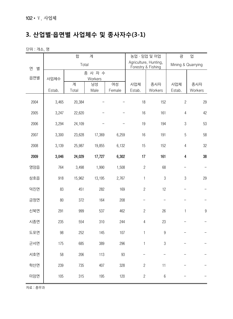# **3. 산업별·읍면별 사업체수 및 종사자수(3-1)**

단위 : 개소, 명

|        |        | 합      | 계                  |        | 농업 · 임업 및 어업                                |                  | 광                  | 업              |
|--------|--------|--------|--------------------|--------|---------------------------------------------|------------------|--------------------|----------------|
| 연<br>별 |        | Total  |                    |        | Agriculture, Hunting,<br>Forestry & Fishing |                  | Mining & Quarrying |                |
| 읍면별    | 사업체수   |        | 종 사 자 수<br>Workers |        |                                             |                  |                    |                |
|        |        | 계      | 남성                 | 여성     | 사업체                                         | 종사자              | 사업체                | 종사자            |
|        | Estab. | Total  | Male               | Female | Estab.                                      | Workers          | Estab.             | Workers        |
| 2004   | 3,465  | 20,384 |                    |        | 18                                          | 152              | $\overline{c}$     | 29             |
| 2005   | 3,247  | 22,620 |                    |        | 16                                          | 161              | $\overline{4}$     | 42             |
| 2006   | 3,294  | 24,109 |                    |        | 19                                          | 194              | $\mathfrak 3$      | 53             |
| 2007   | 3,300  | 23,628 | 17,369             | 6,259  | 16                                          | 191              | 5                  | 58             |
| 2008   | 3,139  | 25,987 | 19,855             | 6,132  | 15                                          | 152              | $\overline{4}$     | 32             |
| 2009   | 3,046  | 24,029 | 17,727             | 6,302  | 17                                          | 161              | 4                  | 38             |
| 영암읍    | 764    | 3,498  | 1,990              | 1,508  | $\sqrt{2}$                                  | 68               |                    |                |
| 삼호읍    | 918    | 15,962 | 13,195             | 2,767  | $\mathbf{1}$                                | $\sqrt{3}$       | $\mathfrak 3$      | 29             |
| 덕진면    | 83     | 451    | 282                | 169    | $\overline{c}$                              | 12               | -                  |                |
| 금정면    | 80     | 372    | 164                | 208    |                                             |                  |                    |                |
| 신북면    | 291    | 999    | 537                | 462    | $\overline{c}$                              | 26               | $\mathbf{1}$       | $\overline{9}$ |
| 시종면    | 235    | 554    | 310                | 244    | 4                                           | 23               |                    |                |
| 도포면    | 98     | 252    | 145                | 107    | $\mathbf{1}$                                | $\boldsymbol{9}$ |                    |                |
| 군서면    | 175    | 685    | 389                | 296    | $\mathbf 1$                                 | 3                |                    |                |
| 서호면    | 58     | 206    | 113                | 93     |                                             |                  |                    |                |
| 학산면    | 239    | 735    | 407                | 328    | $\overline{c}$                              | 11               |                    |                |
| 미암면    | 105    | 315    | 195                | 120    | $\sqrt{2}$                                  | $\,6\,$          |                    |                |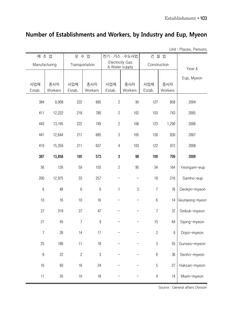## **Number of Establishments and Workers, by Industry and Eup, Myeon**

Unit : Places, Persons

| 제 조 업          |         | 운 수 업          |                  |                  | 전기 · 가스 · 수도사업           | 건설 업             |                 |                 |
|----------------|---------|----------------|------------------|------------------|--------------------------|------------------|-----------------|-----------------|
| Manufacturing  |         | Transportation |                  | & Water supply   | <b>Electricity Gas</b>   | Construction     |                 | Year &          |
|                |         |                |                  |                  |                          |                  |                 |                 |
| 사업체            | 종사자     | 사업체            | 종사자              | 사업체              | 종사자                      | 사업체              | 종사자             | Eup, Myeon      |
| Estab.         | Workers | Estab.         | Workers          | Estab.           | Workers                  | Estab.           | Workers         |                 |
| 384            | 9,908   | 222            | 685              | $\sqrt{2}$       | 95                       | 127              | 858             | 2004            |
| 411            | 12,222  | 218            | 780              | $\sqrt{2}$       | 102                      | 103              | 743             | 2005            |
| 443            | 13,195  | 222            | 749              | $\sqrt{2}$       | 106                      | 123              | 1,290           | 2006            |
| 441            | 12,644  | 217            | 685              | $\sqrt{3}$       | 105                      | 126              | 830             | 2007            |
| 410            | 15,359  | 211            | 637              | $\sqrt{4}$       | 103                      | 122              | 972             | 2008            |
| 387            | 13,858  | 195            | 573              | $\boldsymbol{3}$ | 98                       | 109              | 709             | 2009            |
| 56             | 126     | 59             | 155              | $\overline{c}$   | 95                       | 34               | 164             | Yeongam-eup     |
| 200            | 12,975  | 33             | 257              |                  |                          | 18               | 216             | Samho-eup       |
| $6\,$          | 48      | 6              | $\overline{9}$   | 1                | $\mathfrak{Z}$           | $\overline{7}$   | 76              | Deokjin-myeon   |
| 10             | 16      | 10             | 16               |                  |                          | $\boldsymbol{6}$ | 14              | Geumjeong-myeon |
| 27             | 319     | 27             | 47               |                  |                          | $\overline{7}$   | 37              | Sinbuk-myeon    |
| 21             | 45      | $\overline{7}$ | $\boldsymbol{9}$ |                  | $\overline{\phantom{0}}$ | 15               | 64              | Sijong-myeon    |
| $\overline{7}$ | 26      | 14             | 17               |                  |                          | $\sqrt{2}$       | $6\phantom{.}6$ | Dopo-myeon      |
| 25             | 186     | 11             | 18               |                  |                          | $\sqrt{5}$       | 55              | Gunseo-myeon    |
| $\, 8$         | 22      | $\sqrt{2}$     | $\sqrt{3}$       |                  |                          | 6                | 36              | Seoho-myeon     |
| 16             | 60      | 16             | 24               |                  |                          | $\overline{5}$   | 27              | Haksan-myeon    |
| 11             | $35\,$  | $10$           | $18$             |                  |                          | $\overline{4}$   | 14              | Miam-myeon      |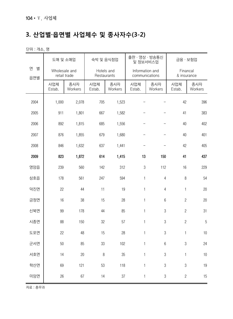# **3. 산업별·읍면별 사업체수 및 종사자수(3-2)**

단위 : 개소, 명

|               | 도매 및 소매업      |                | 숙박 및 음식점업                 |                | 출판 · 영상 · 방송통신<br>및 정보서비스업        |                | 금융 · 보험업                |                |  |
|---------------|---------------|----------------|---------------------------|----------------|-----------------------------------|----------------|-------------------------|----------------|--|
| 연<br>별<br>읍면별 | Wholesale and | retail trade   | Hotels and<br>Restaurants |                | Information and<br>communications |                | Financal<br>& insurance |                |  |
|               | 사업체<br>Estab. | 종사자<br>Workers | 사업체<br>Estab.             | 종사자<br>Workers | 사업체<br>Estab.                     | 종사자<br>Workers | 사업체<br>Estab.           | 종사자<br>Workers |  |
| 2004          | 1,000         | 2,078          | 705                       | 1,523          |                                   |                | 42                      | 396            |  |
| 2005          | 911           | 1,801          | 667                       | 1,582          |                                   |                | 41                      | 383            |  |
| 2006          | 892           | 1,815          | 685                       | 1,556          |                                   |                | 40                      | 402            |  |
| 2007          | 876           | 1,855          | 679                       | 1,680          |                                   |                | 40                      | 401            |  |
| 2008          | 846           | 1,632          | 637                       | 1,441          |                                   |                | 42                      | 405            |  |
| 2009          | 823           | 1,872          | 614                       | 1,415          | 13                                | 150            | 41                      | 437            |  |
| 영암읍           | 239           | 560            | 142                       | 312            | $\mathfrak{S}$                    | 112            | 16                      | 229            |  |
| 삼호읍           | 178           | 561            | 247                       | 594            | $\mathbf{1}$                      | $\overline{4}$ | 8                       | 54             |  |
| 덕진면           | 22            | 44             | 11                        | 19             | $\mathbf{1}$                      | $\overline{4}$ | $\mathbf{1}$            | 20             |  |
| 금정면           | 16            | 38             | 15                        | 28             | $\mathbf{1}$                      | 6              | $\overline{c}$          | 20             |  |
| 신북면           | 99            | 178            | 44                        | 85             | $\mathbf{1}$                      | 3              | $\overline{c}$          | 31             |  |
| 시종면           | 88            | 150            | 32                        | 57             | 1                                 | 3              | $\overline{c}$          | 5              |  |
| 도포면           | 22            | 48             | 15                        | 28             | 1                                 | $\mathfrak 3$  | $\mathbf{1}$            | 10             |  |
| 군서면           | 50            | 85             | 33                        | 102            | $\mathbf{1}$                      | $6\,$          | $\mathfrak 3$           | 24             |  |
| 서호면           | 14            | $20\,$         | $\, 8$                    | $35\,$         | 1                                 | $\sqrt{3}$     | $\mathbf{1}$            | $10\,$         |  |
| 학산면           | 69            | 121            | 53                        | 118            | $\mathbf{1}$                      | $\mathfrak 3$  | $\sqrt{3}$              | 19             |  |
| 미암면           | 26            | 67             | 14                        | $37\,$         | $\mathbf{1}$                      | $\mathfrak 3$  | $\mathbf{2}$            | $15\,$         |  |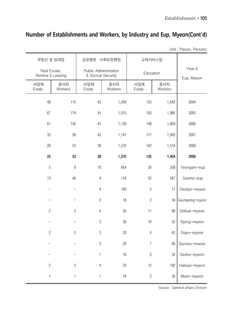## **Number of Establishments and Workers, by Industry and Eup, Myeon(Cont'd)**

Unit : Places, Persons

| 부동산 및 임대업                         |                 | 공공행정 · 사회보장행정                               |                | 교육서비스업         |                |                 |
|-----------------------------------|-----------------|---------------------------------------------|----------------|----------------|----------------|-----------------|
| Real Esrate,<br>Rentina & Leasing |                 | Public Administration<br>& Socical Security |                | Education      |                | Year &          |
| 사업체<br>Estab.                     | 종사자<br>Workers  | 사업체<br>Estab.                               | 종사자<br>Workers | 사업체<br>Estab.  | 종사자<br>Workers | Eup, Myeon      |
| 48                                | 115             | 43                                          | 1,059          | 153            | 1,643          | 2004            |
| 67                                | 174             | 41                                          | 1,015          | 150            | 1,985          | 2005            |
| 61                                | 145             | 41                                          | 1,139          | 148            | 1,850          | 2006            |
| 33                                | 56              | 42                                          | 1,141          | 171            | 1,943          | 2007            |
| 26                                | 53              | 39                                          | 1,570          | 142            | 1,516          | 2008            |
| 25                                | 53              | 39                                          | 1,070          | 135            | 1,404          | 2009            |
| 5                                 | $6\phantom{.}6$ | 10                                          | 654            | $30\,$         | 258            | Yeongam-eup     |
| 13                                | 40              | $\overline{4}$                              | 118            | 52             | 567            | Samho-eup       |
|                                   |                 | $\overline{4}$                              | 100            | $\mathbf{2}$   | 17             | Deokjin-myeon   |
|                                   |                 | $\sqrt{2}$                                  | 18             | $\sqrt{2}$     | 34             | Geumjeong-myeon |
| $\overline{c}$                    | $\overline{c}$  | $\overline{4}$                              | $30\,$         | 11             | 89             | Sinbuk-myeon    |
|                                   |                 | $\sqrt{3}$                                  | 36             | 10             | 52             | Sijong-myeon    |
| $\overline{c}$                    | $\overline{c}$  | $\sqrt{3}$                                  | 20             | $\sqrt{4}$     | 42             | Dopo-myeon      |
|                                   |                 | 3                                           | 26             | 7              | 89             | Gunseo-myeon    |
|                                   |                 | 1                                           | 16             | $\sqrt{3}$     | 34             | Seoho-myeon     |
| $\overline{2}$                    | $\mathbf{2}$    | $\sqrt{4}$                                  | 33             | 12             | 192            | Haksan-myeon    |
| 1                                 | $\mathbf{1}$    | $\mathbf{1}$                                | 19             | $\overline{c}$ | $30\,$         | Miam-myeon      |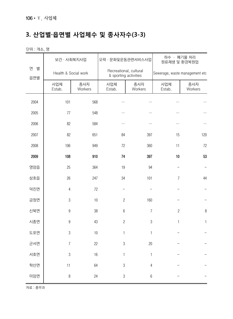# **3. 산업별·읍면별 사업체수 및 종사자수(3-3)**

단위 : 개소, 명

|               | 보건 · 사회복지사업          |                | 오락 · 문화및운동관련서비스사업                               |                | 하수 · 폐기물 처리<br>원료재생 및 환경복원업    |                |  |
|---------------|----------------------|----------------|-------------------------------------------------|----------------|--------------------------------|----------------|--|
| 연<br>별<br>읍면별 | Health & Social work |                | Recreational, cultural<br>& sporting activities |                | Sewerage, waste management etc |                |  |
|               | 사업체<br>Estab.        | 종사자<br>Workers | 사업체<br>Estab.                                   | 종사자<br>Workers | 사업체<br>Estab.                  | 종사자<br>Workers |  |
| 2004          | 101                  | 568            |                                                 |                | $\cdots$                       |                |  |
| 2005          | 77                   | 548            |                                                 |                |                                | $\cdots$       |  |
| 2006          | 82                   | 584            | $\cdots$                                        |                |                                | $\ldots$       |  |
| 2007          | 82                   | 651            | 84                                              | 397            | 15                             | 120            |  |
| 2008          | 106                  | 949            | 72                                              | 360            | 11                             | 72             |  |
| 2009          | 108                  | 910            | 74                                              | 397            | 10                             | 53             |  |
| 영암읍           | 25                   | 364            | 19                                              | 94             |                                |                |  |
| 삼호읍           | 26                   | 247            | 34                                              | 101            | 7                              | 44             |  |
| 덕진면           | 4                    | 72             |                                                 |                |                                |                |  |
| 금정면           | $\,3$                | 10             | $\sqrt{2}$                                      | 160            |                                |                |  |
| 신북면           | $\boldsymbol{9}$     | 38             | $\boldsymbol{6}$                                | $\overline{7}$ | $\overline{c}$                 | $\, 8$         |  |
| 시종면           | $\boldsymbol{9}$     | 43             | $\overline{c}$                                  | $\sqrt{3}$     | 1                              | $\mathbf{1}$   |  |
| 도포면           | 3                    | 10             | $\mathbf{1}$                                    | $\mathbf{1}$   |                                |                |  |
| 군서면           | $\overline{7}$       | 22             | $\sqrt{3}$                                      | $20\,$         |                                |                |  |
| 서호면           | $\mathfrak 3$        | 16             | 1                                               | 1              |                                |                |  |
| 학산면           | 11                   | 64             | $\mathfrak 3$                                   | $\sqrt{4}$     |                                |                |  |
| 미암면           | $\,8\,$              | 24             | $\sqrt{3}$                                      | $\,6\,$        |                                |                |  |